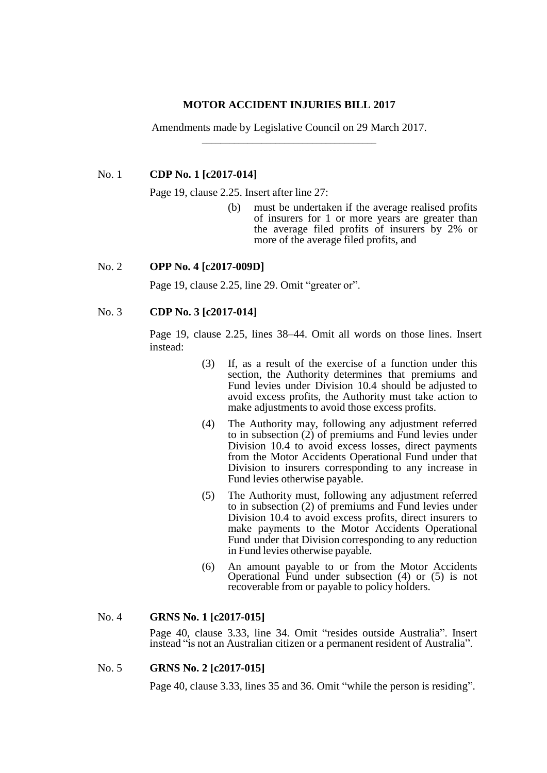### **MOTOR ACCIDENT INJURIES BILL 2017**

Amendments made by Legislative Council on 29 March 2017. \_\_\_\_\_\_\_\_\_\_\_\_\_\_\_\_\_\_\_\_\_\_\_\_\_\_\_\_\_\_\_\_\_\_\_\_\_\_

## No. 1 **CDP No. 1 [c2017-014]**

Page 19, clause 2.25. Insert after line 27:

(b) must be undertaken if the average realised profits of insurers for 1 or more years are greater than the average filed profits of insurers by 2% or more of the average filed profits, and

# No. 2 **OPP No. 4 [c2017-009D]**

Page 19, clause 2.25, line 29. Omit "greater or".

# No. 3 **CDP No. 3 [c2017-014]**

Page 19, clause 2.25, lines 38–44. Omit all words on those lines. Insert instead:

- (3) If, as a result of the exercise of a function under this section, the Authority determines that premiums and Fund levies under Division 10.4 should be adjusted to avoid excess profits, the Authority must take action to make adjustments to avoid those excess profits.
- (4) The Authority may, following any adjustment referred to in subsection (2) of premiums and Fund levies under Division 10.4 to avoid excess losses, direct payments from the Motor Accidents Operational Fund under that Division to insurers corresponding to any increase in Fund levies otherwise payable.
- (5) The Authority must, following any adjustment referred to in subsection (2) of premiums and Fund levies under Division 10.4 to avoid excess profits, direct insurers to make payments to the Motor Accidents Operational Fund under that Division corresponding to any reduction in Fund levies otherwise payable.
- (6) An amount payable to or from the Motor Accidents Operational Fund under subsection (4) or (5) is not recoverable from or payable to policy holders.

# No. 4 **GRNS No. 1 [c2017-015]**

Page 40, clause 3.33, line 34. Omit "resides outside Australia". Insert instead "is not an Australian citizen or a permanent resident of Australia".

# No. 5 **GRNS No. 2 [c2017-015]**

Page 40, clause 3.33, lines 35 and 36. Omit "while the person is residing".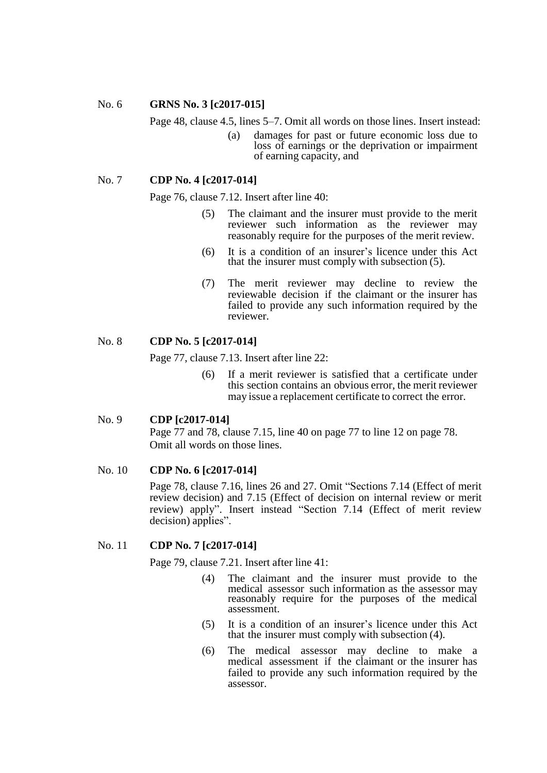#### No. 6 **GRNS No. 3 [c2017-015]**

Page 48, clause 4.5, lines 5–7. Omit all words on those lines. Insert instead:

(a) damages for past or future economic loss due to loss of earnings or the deprivation or impairment of earning capacity, and

# No. 7 **CDP No. 4 [c2017-014]**

Page 76, clause 7.12. Insert after line 40:

- (5) The claimant and the insurer must provide to the merit reviewer such information as the reviewer may reasonably require for the purposes of the merit review.
- (6) It is a condition of an insurer's licence under this Act that the insurer must comply with subsection (5).
- (7) The merit reviewer may decline to review the reviewable decision if the claimant or the insurer has failed to provide any such information required by the reviewer.

# No. 8 **CDP No. 5 [c2017-014]**

Page 77, clause 7.13. Insert after line 22:

(6) If a merit reviewer is satisfied that a certificate under this section contains an obvious error, the merit reviewer may issue a replacement certificate to correct the error.

#### No. 9 **CDP [c2017-014]**

Page 77 and 78, clause 7.15, line 40 on page 77 to line 12 on page 78. Omit all words on those lines.

# No. 10 **CDP No. 6 [c2017-014]**

Page 78, clause 7.16, lines 26 and 27. Omit "Sections 7.14 (Effect of merit review decision) and 7.15 (Effect of decision on internal review or merit review) apply". Insert instead "Section 7.14 (Effect of merit review decision) applies".

# No. 11 **CDP No. 7 [c2017-014]**

Page 79, clause 7.21. Insert after line 41:

- (4) The claimant and the insurer must provide to the medical assessor such information as the assessor may reasonably require for the purposes of the medical assessment.
- (5) It is a condition of an insurer's licence under this Act that the insurer must comply with subsection (4).
- (6) The medical assessor may decline to make a medical assessment if the claimant or the insurer has failed to provide any such information required by the assessor.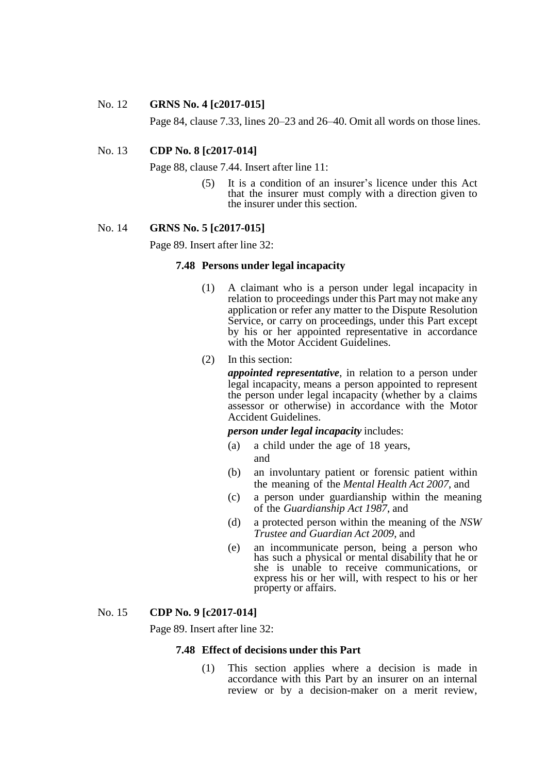#### No. 12 **GRNS No. 4 [c2017-015]**

Page 84, clause 7.33, lines 20–23 and 26–40. Omit all words on those lines.

## No. 13 **CDP No. 8 [c2017-014]**

Page 88, clause 7.44. Insert after line 11:

(5) It is a condition of an insurer's licence under this Act that the insurer must comply with a direction given to the insurer under this section.

### No. 14 **GRNS No. 5 [c2017-015]**

Page 89. Insert after line 32:

# **7.48 Persons under legal incapacity**

- (1) A claimant who is a person under legal incapacity in relation to proceedings under this Part may not make any application or refer any matter to the Dispute Resolution Service, or carry on proceedings, under this Part except by his or her appointed representative in accordance with the Motor Accident Guidelines.
- (2) In this section:

*appointed representative*, in relation to a person under legal incapacity, means a person appointed to represent the person under legal incapacity (whether by a claims assessor or otherwise) in accordance with the Motor Accident Guidelines.

*person under legal incapacity* includes:

- (a) a child under the age of 18 years, and
- (b) an involuntary patient or forensic patient within the meaning of the *Mental Health Act 2007*, and
- (c) a person under guardianship within the meaning of the *Guardianship Act 1987*, and
- (d) a protected person within the meaning of the *NSW Trustee and Guardian Act 2009*, and
- (e) an incommunicate person, being a person who has such a physical or mental disability that he or she is unable to receive communications, or express his or her will, with respect to his or her property or affairs.

### No. 15 **CDP No. 9 [c2017-014]**

Page 89. Insert after line 32:

## **7.48 Effect of decisions under this Part**

(1) This section applies where a decision is made in accordance with this Part by an insurer on an internal review or by a decision-maker on a merit review,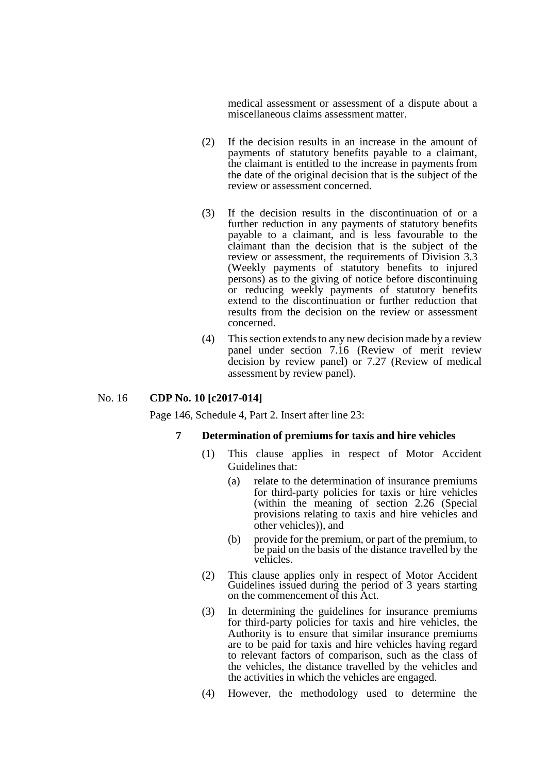medical assessment or assessment of a dispute about a miscellaneous claims assessment matter.

- (2) If the decision results in an increase in the amount of payments of statutory benefits payable to a claimant, the claimant is entitled to the increase in payments from the date of the original decision that is the subject of the review or assessment concerned.
- (3) If the decision results in the discontinuation of or a further reduction in any payments of statutory benefits payable to a claimant, and is less favourable to the claimant than the decision that is the subject of the review or assessment, the requirements of Division 3.3 (Weekly payments of statutory benefits to injured persons) as to the giving of notice before discontinuing or reducing weekly payments of statutory benefits extend to the discontinuation or further reduction that results from the decision on the review or assessment concerned.
- (4) This section extends to any new decision made by a review panel under section 7.16 (Review of merit review decision by review panel) or 7.27 (Review of medical assessment by review panel).

## No. 16 **CDP No. 10 [c2017-014]**

Page 146, Schedule 4, Part 2. Insert after line 23:

## **7 Determination of premiums for taxis and hire vehicles**

- (1) This clause applies in respect of Motor Accident Guidelines that:
	- (a) relate to the determination of insurance premiums for third-party policies for taxis or hire vehicles (within the meaning of section 2.26 (Special provisions relating to taxis and hire vehicles and other vehicles)), and
	- (b) provide for the premium, or part of the premium, to be paid on the basis of the distance travelled by the vehicles.
- (2) This clause applies only in respect of Motor Accident Guidelines issued during the period of 3 years starting on the commencement of this Act.
- (3) In determining the guidelines for insurance premiums for third-party policies for taxis and hire vehicles, the Authority is to ensure that similar insurance premiums are to be paid for taxis and hire vehicles having regard to relevant factors of comparison, such as the class of the vehicles, the distance travelled by the vehicles and the activities in which the vehicles are engaged.
- (4) However, the methodology used to determine the